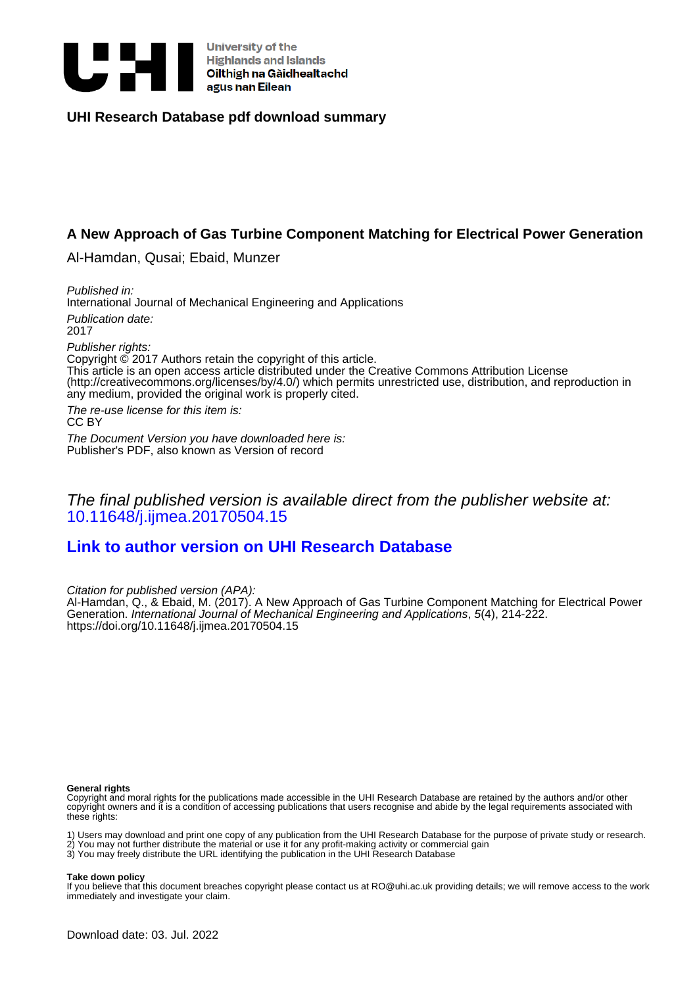

University of the oniversity of the<br>Highlands and Islands<br>Oilthigh na Gàidhealtachd<br>agus nan Eilean

#### **UHI Research Database pdf download summary**

# **A New Approach of Gas Turbine Component Matching for Electrical Power Generation**

Al-Hamdan, Qusai; Ebaid, Munzer

Published in: International Journal of Mechanical Engineering and Applications

Publication date: 2017

Publisher rights:

Copyright © 2017 Authors retain the copyright of this article. This article is an open access article distributed under the Creative Commons Attribution License (http://creativecommons.org/licenses/by/4.0/) which permits unrestricted use, distribution, and reproduction in any medium, provided the original work is properly cited.

The re-use license for this item is: CC BY

The Document Version you have downloaded here is: Publisher's PDF, also known as Version of record

# The final published version is available direct from the publisher website at: [10.11648/j.ijmea.20170504.15](https://doi.org/10.11648/j.ijmea.20170504.15)

# **[Link to author version on UHI Research Database](https://pure.uhi.ac.uk/en/publications/6625eec9-33b3-4fbf-b62d-2ffbd3f4b26c)**

Citation for published version (APA):

Al-Hamdan, Q., & Ebaid, M. (2017). A New Approach of Gas Turbine Component Matching for Electrical Power Generation. International Journal of Mechanical Engineering and Applications, 5(4), 214-222. <https://doi.org/10.11648/j.ijmea.20170504.15>

#### **General rights**

Copyright and moral rights for the publications made accessible in the UHI Research Database are retained by the authors and/or other copyright owners and it is a condition of accessing publications that users recognise and abide by the legal requirements associated with these rights:

1) Users may download and print one copy of any publication from the UHI Research Database for the purpose of private study or research.

2) You may not further distribute the material or use it for any profit-making activity or commercial gain 3) You may freely distribute the URL identifying the publication in the UHI Research Database

**Take down policy**

If you believe that this document breaches copyright please contact us at RO@uhi.ac.uk providing details; we will remove access to the work immediately and investigate your claim.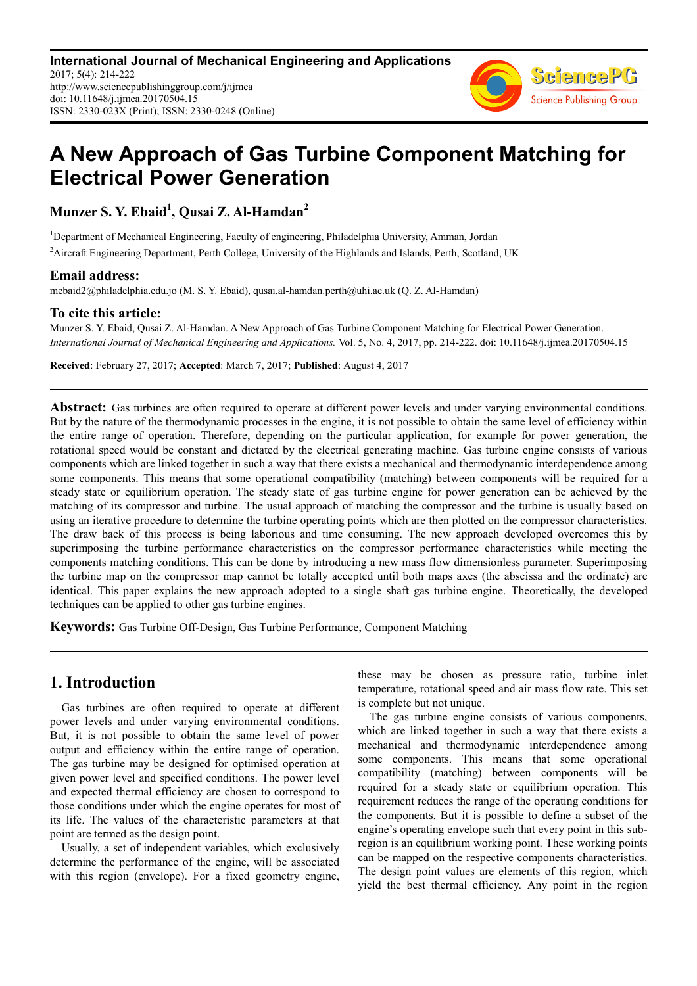**International Journal of Mechanical Engineering and Applications** 2017; 5(4): 214-222 http://www.sciencepublishinggroup.com/j/ijmea doi: 10.11648/j.ijmea.20170504.15 ISSN: 2330-023X (Print); ISSN: 2330-0248 (Online)



# **A New Approach of Gas Turbine Component Matching for Electrical Power Generation**

**Munzer S. Y. Ebaid<sup>1</sup> , Qusai Z. Al-Hamdan<sup>2</sup>**

<sup>1</sup>Department of Mechanical Engineering, Faculty of engineering, Philadelphia University, Amman, Jordan

<sup>2</sup>Aircraft Engineering Department, Perth College, University of the Highlands and Islands, Perth, Scotland, UK

#### **Email address:**

mebaid2@philadelphia.edu.jo (M. S. Y. Ebaid), qusai.al-hamdan.perth@uhi.ac.uk (Q. Z. Al-Hamdan)

#### **To cite this article:**

Munzer S. Y. Ebaid, Qusai Z. Al-Hamdan. A New Approach of Gas Turbine Component Matching for Electrical Power Generation. *International Journal of Mechanical Engineering and Applications.* Vol. 5, No. 4, 2017, pp. 214-222. doi: 10.11648/j.ijmea.20170504.15

**Received**: February 27, 2017; **Accepted**: March 7, 2017; **Published**: August 4, 2017

Abstract: Gas turbines are often required to operate at different power levels and under varying environmental conditions. But by the nature of the thermodynamic processes in the engine, it is not possible to obtain the same level of efficiency within the entire range of operation. Therefore, depending on the particular application, for example for power generation, the rotational speed would be constant and dictated by the electrical generating machine. Gas turbine engine consists of various components which are linked together in such a way that there exists a mechanical and thermodynamic interdependence among some components. This means that some operational compatibility (matching) between components will be required for a steady state or equilibrium operation. The steady state of gas turbine engine for power generation can be achieved by the matching of its compressor and turbine. The usual approach of matching the compressor and the turbine is usually based on using an iterative procedure to determine the turbine operating points which are then plotted on the compressor characteristics. The draw back of this process is being laborious and time consuming. The new approach developed overcomes this by superimposing the turbine performance characteristics on the compressor performance characteristics while meeting the components matching conditions. This can be done by introducing a new mass flow dimensionless parameter. Superimposing the turbine map on the compressor map cannot be totally accepted until both maps axes (the abscissa and the ordinate) are identical. This paper explains the new approach adopted to a single shaft gas turbine engine. Theoretically, the developed techniques can be applied to other gas turbine engines.

**Keywords:** Gas Turbine Off-Design, Gas Turbine Performance, Component Matching

# **1. Introduction**

Gas turbines are often required to operate at different power levels and under varying environmental conditions. But, it is not possible to obtain the same level of power output and efficiency within the entire range of operation. The gas turbine may be designed for optimised operation at given power level and specified conditions. The power level and expected thermal efficiency are chosen to correspond to those conditions under which the engine operates for most of its life. The values of the characteristic parameters at that point are termed as the design point.

Usually, a set of independent variables, which exclusively determine the performance of the engine, will be associated with this region (envelope). For a fixed geometry engine, these may be chosen as pressure ratio, turbine inlet temperature, rotational speed and air mass flow rate. This set is complete but not unique.

The gas turbine engine consists of various components, which are linked together in such a way that there exists a mechanical and thermodynamic interdependence among some components. This means that some operational compatibility (matching) between components will be required for a steady state or equilibrium operation. This requirement reduces the range of the operating conditions for the components. But it is possible to define a subset of the engine's operating envelope such that every point in this subregion is an equilibrium working point. These working points can be mapped on the respective components characteristics. The design point values are elements of this region, which yield the best thermal efficiency. Any point in the region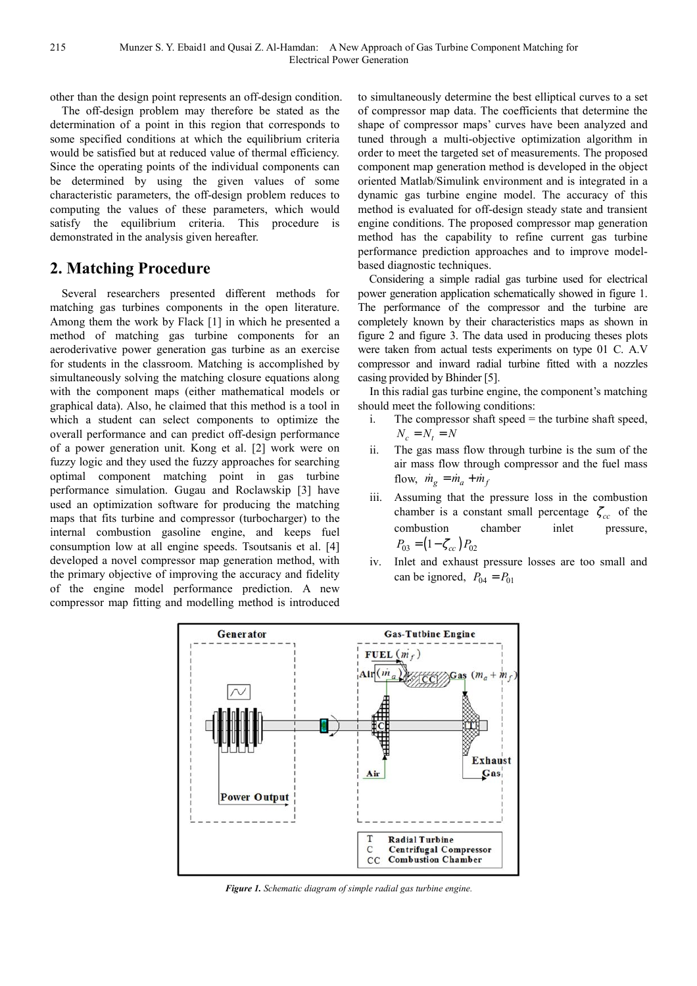other than the design point represents an off-design condition.

The off-design problem may therefore be stated as the determination of a point in this region that corresponds to some specified conditions at which the equilibrium criteria would be satisfied but at reduced value of thermal efficiency. Since the operating points of the individual components can be determined by using the given values of some characteristic parameters, the off-design problem reduces to computing the values of these parameters, which would satisfy the equilibrium criteria. This procedure is demonstrated in the analysis given hereafter.

#### **2. Matching Procedure**

Several researchers presented different methods for matching gas turbines components in the open literature. Among them the work by Flack [1] in which he presented a method of matching gas turbine components for an aeroderivative power generation gas turbine as an exercise for students in the classroom. Matching is accomplished by simultaneously solving the matching closure equations along with the component maps (either mathematical models or graphical data). Also, he claimed that this method is a tool in which a student can select components to optimize the overall performance and can predict off-design performance of a power generation unit. Kong et al. [2] work were on fuzzy logic and they used the fuzzy approaches for searching optimal component matching point in gas turbine performance simulation. Gugau and Roclawskip [3] have used an optimization software for producing the matching maps that fits turbine and compressor (turbocharger) to the internal combustion gasoline engine, and keeps fuel consumption low at all engine speeds. Tsoutsanis et al. [4] developed a novel compressor map generation method, with the primary objective of improving the accuracy and fidelity of the engine model performance prediction. A new compressor map fitting and modelling method is introduced

to simultaneously determine the best elliptical curves to a set of compressor map data. The coefficients that determine the shape of compressor maps' curves have been analyzed and tuned through a multi-objective optimization algorithm in order to meet the targeted set of measurements. The proposed component map generation method is developed in the object oriented Matlab/Simulink environment and is integrated in a dynamic gas turbine engine model. The accuracy of this method is evaluated for off-design steady state and transient engine conditions. The proposed compressor map generation method has the capability to refine current gas turbine performance prediction approaches and to improve modelbased diagnostic techniques.

Considering a simple radial gas turbine used for electrical power generation application schematically showed in figure 1. The performance of the compressor and the turbine are completely known by their characteristics maps as shown in figure 2 and figure 3. The data used in producing theses plots were taken from actual tests experiments on type 01 C. A.V compressor and inward radial turbine fitted with a nozzles casing provided by Bhinder [5].

In this radial gas turbine engine, the component's matching should meet the following conditions:

- i. The compressor shaft speed = the turbine shaft speed,  $N_c = N_t = N$
- ii. The gas mass flow through turbine is the sum of the air mass flow through compressor and the fuel mass flow,  $\dot{m}_g = \dot{m}_a + \dot{m}_f$
- iii. Assuming that the pressure loss in the combustion chamber is a constant small percentage  $\zeta_{cc}$  of the combustion chamber inlet pressure,  $P_{03} = (1 - \zeta_{cc}) P_{02}$
- iv. Inlet and exhaust pressure losses are too small and can be ignored,  $P_{04} = P_{01}$



*Figure 1. Schematic diagram of simple radial gas turbine engine.*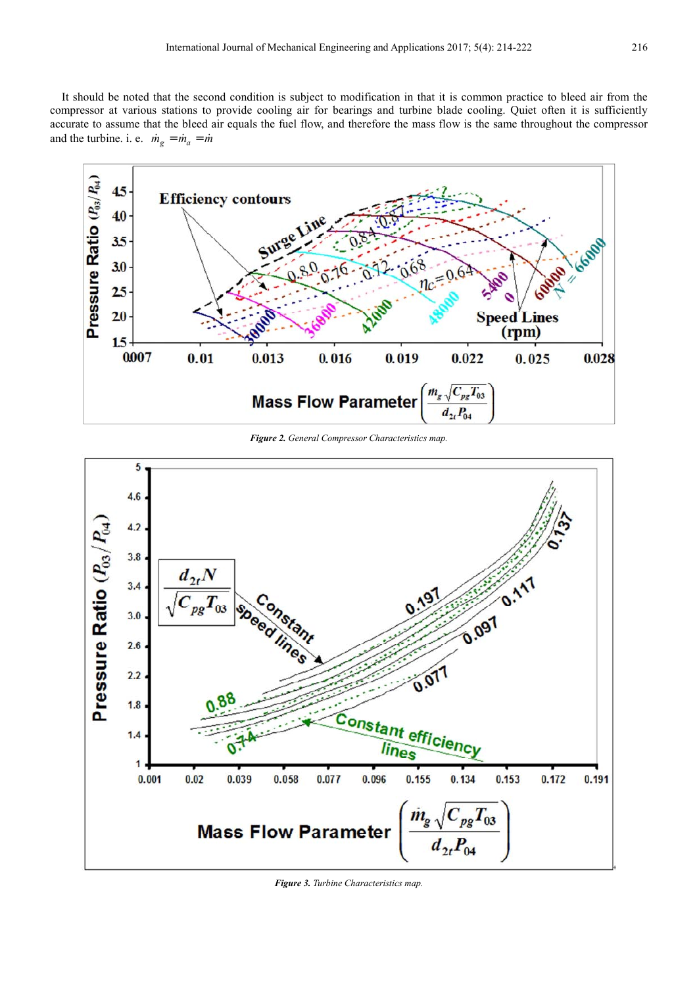It should be noted that the second condition is subject to modification in that it is common practice to bleed air from the compressor at various stations to provide cooling air for bearings and turbine blade cooling. Quiet often it is sufficiently accurate to assume that the bleed air equals the fuel flow, and therefore the mass flow is the same throughout the compressor and the turbine. i. e.  $\dot{m}_g = \dot{m}_a = \dot{m}$ 



*Figure 2. General Compressor Characteristics map.* 



*Figure 3. Turbine Characteristics map.*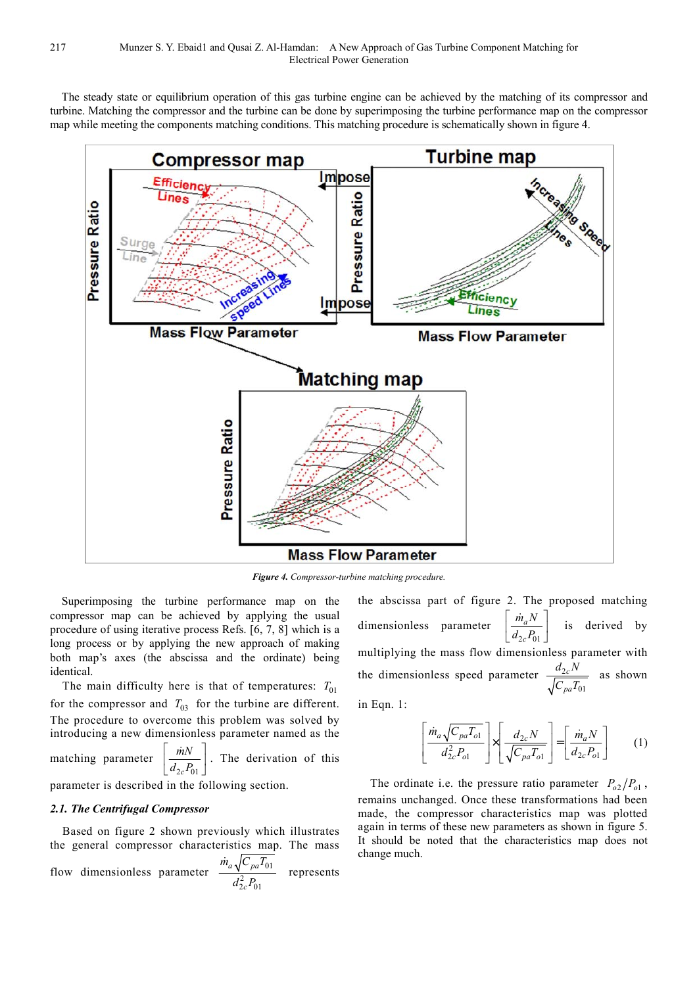The steady state or equilibrium operation of this gas turbine engine can be achieved by the matching of its compressor and turbine. Matching the compressor and the turbine can be done by superimposing the turbine performance map on the compressor map while meeting the components matching conditions. This matching procedure is schematically shown in figure 4.



*Figure 4. Compressor-turbine matching procedure.* 

Superimposing the turbine performance map on the compressor map can be achieved by applying the usual procedure of using iterative process Refs. [6, 7, 8] which is a long process or by applying the new approach of making both map's axes (the abscissa and the ordinate) being identical.

The main difficulty here is that of temperatures:  $T_{01}$ for the compressor and  $T_{03}$  for the turbine are different. The procedure to overcome this problem was solved by introducing a new dimensionless parameter named as the

matching parameter  $2c^{1}01$ *mN*  $d_{2c}P_0$  $\lceil$   $\dot{m}N$   $\rceil$  $\left[\frac{m}{d_{2c}P_{01}}\right]$ .<br>n . The derivation of this

parameter is described in the following section.

#### *2.1. The Centrifugal Compressor*

Based on figure 2 shown previously which illustrates the general compressor characteristics map. The mass

flow dimensionless parameter 
$$
\frac{\dot{m}_a \sqrt{C_{pa} T_{01}}}{d_{2c}^2 P_{01}}
$$
 represents

the abscissa part of figure 2. The proposed matching dimensionless parameter  $2c^{10}$  01 *a c*  $\dot{m}_a N$  $d_{2c}P_0$  $\lceil m N \rceil$  $\left[\frac{a}{d_{2c}P_{01}}\right]$ 'n is derived by multiplying the mass flow dimensionless parameter with the dimensionless speed parameter  $\frac{u_2}{\sqrt{2}}$ 01 *c pa*  $d_{2c}N$  $C_{pa}T_0$ as shown

in Eqn. 1:

$$
\left[\frac{\dot{m}_a \sqrt{C_{pa} T_{o1}}}{d_{2c}^2 P_{o1}}\right] \times \left[\frac{d_{2c} N}{\sqrt{C_{pa} T_{o1}}}\right] = \left[\frac{\dot{m}_a N}{d_{2c} P_{o1}}\right]
$$
 (1)

The ordinate i.e. the pressure ratio parameter  $P_{o2}/P_{o1}$ , remains unchanged. Once these transformations had been made, the compressor characteristics map was plotted again in terms of these new parameters as shown in figure 5. It should be noted that the characteristics map does not change much.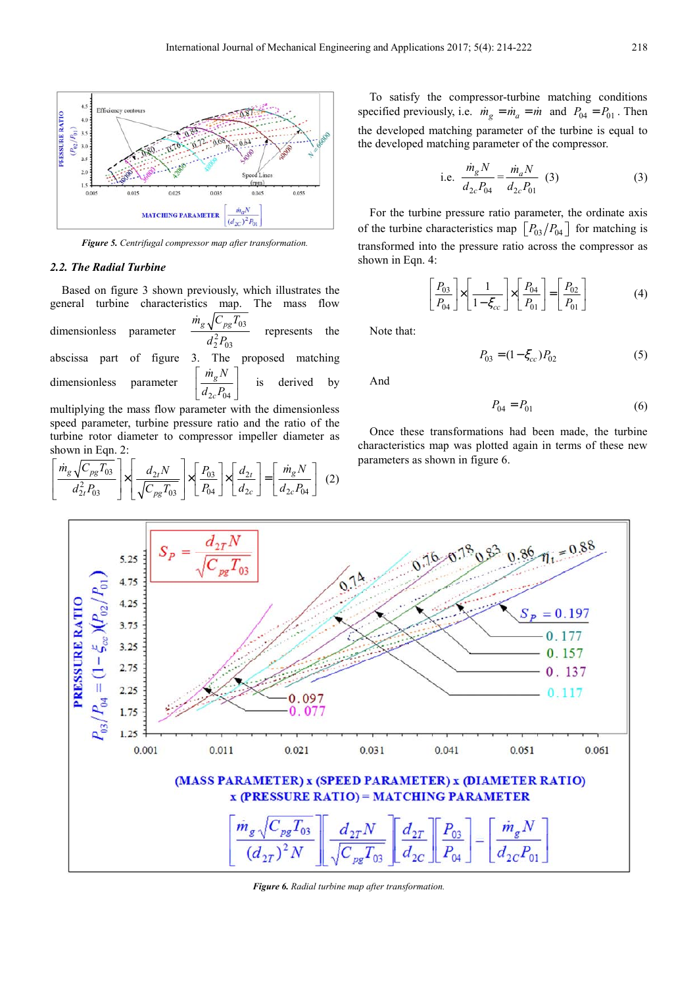

*Figure 5. Centrifugal compressor map after transformation.* 

#### *2.2. The Radial Turbine*

Based on figure 3 shown previously, which illustrates the general turbine characteristics map. The mass flow dimensionless parameter  $d_2^2 P_{03}$  $T_{03} T_{03}$ .<br>K represents the abscissa part of figure 3. The proposed matching dimensionless parameter  $\left[\frac{s}{d_{2c}P_{04}}\right]$ *g*  $\dot{m}_s N$  $\lceil \dot{m}_a N \rceil$ 'n is derived by multiplying the mass flow parameter with the dimensionless

speed parameter, turbine pressure ratio and the ratio of the turbine rotor diameter to compressor impeller diameter as shown in Eqn. 2:

$$
\left[\frac{\dot{m}_g \sqrt{C_{pg} T_{03}}}{d_{2t}^2 P_{03}}\right] \times \left[\frac{d_{2t} N}{\sqrt{C_{pg} T_{03}}}\right] \times \left[\frac{P_{03}}{P_{04}}\right] \times \left[\frac{d_{2t}}{d_{2c}}\right] = \left[\frac{\dot{m}_g N}{d_{2c} P_{04}}\right] (2)
$$

To satisfy the compressor-turbine matching conditions specified previously, i.e.  $\dot{m}_g = \dot{m}_a = \dot{m}$  and  $P_{04} = P_{01}$ . Then the developed matching parameter of the turbine is equal to the developed matching parameter of the compressor.

i.e. 
$$
\frac{\dot{m}_g N}{d_{2c} P_{04}} = \frac{\dot{m}_a N}{d_{2c} P_{01}} \quad (3)
$$
 (3)

For the turbine pressure ratio parameter, the ordinate axis of the turbine characteristics map  $\left[P_{03}/P_{04}\right]$  for matching is transformed into the pressure ratio across the compressor as shown in Eqn. 4:

$$
\left[\frac{P_{03}}{P_{04}}\right] \times \left[\frac{1}{1-\xi_{cc}}\right] \times \left[\frac{P_{04}}{P_{01}}\right] = \left[\frac{P_{02}}{P_{01}}\right]
$$
(4)

Note that:

$$
P_{03} = (1 - \xi_{cc}) P_{02} \tag{5}
$$

And

$$
P_{04} = P_{01} \tag{6}
$$

Once these transformations had been made, the turbine characteristics map was plotted again in terms of these new parameters as shown in figure 6.



*Figure 6. Radial turbine map after transformation.*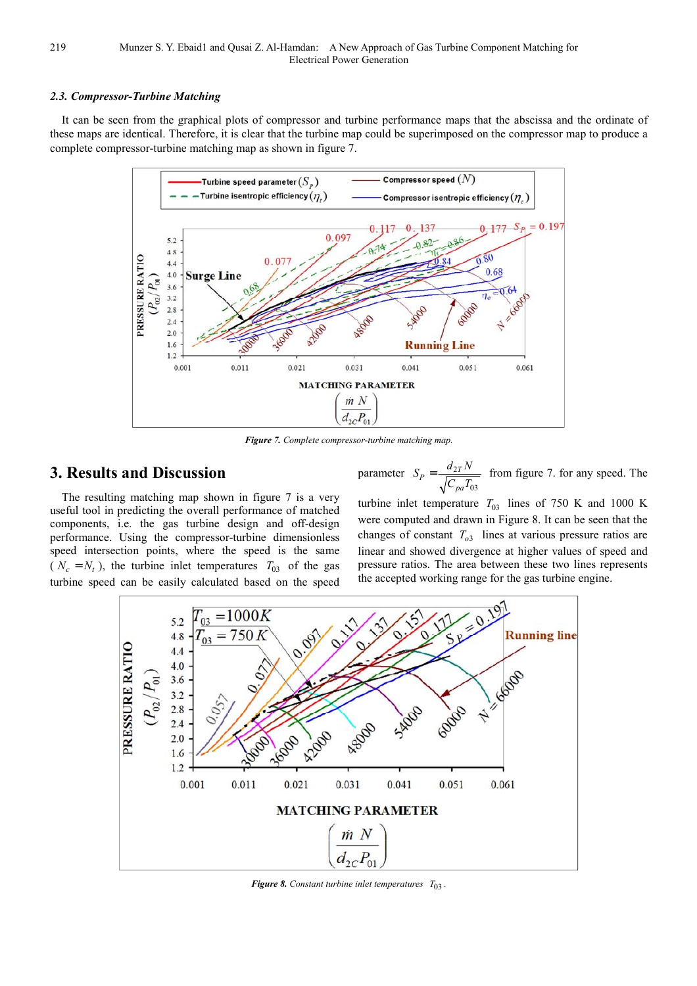#### *2.3. Compressor-Turbine Matching*

It can be seen from the graphical plots of compressor and turbine performance maps that the abscissa and the ordinate of these maps are identical. Therefore, it is clear that the turbine map could be superimposed on the compressor map to produce a complete compressor-turbine matching map as shown in figure 7.



*Figure 7. Complete compressor-turbine matching map.* 

# **3. Results and Discussion**

The resulting matching map shown in figure 7 is a very useful tool in predicting the overall performance of matched components, i.e. the gas turbine design and off-design performance. Using the compressor-turbine dimensionless speed intersection points, where the speed is the same ( $N_c = N_t$ ), the turbine inlet temperatures  $T_{03}$  of the gas turbine speed can be easily calculated based on the speed parameter  $S_p = \frac{u_2}{\sqrt{u_2}}$ 03  $P = \frac{u_{2T}}{\sqrt{C}}$ *pa*  $S_P = \frac{d_{2T}N}{\sqrt{N}}$  $C_{pa}T_0$  $=\frac{a_{2}r^{2}}{\sqrt{r^{2}-1}}$  from figure 7. for any speed. The

turbine inlet temperature  $T_{03}$  lines of 750 K and 1000 K were computed and drawn in Figure 8. It can be seen that the changes of constant  $T_{o3}$  lines at various pressure ratios are linear and showed divergence at higher values of speed and pressure ratios. The area between these two lines represents the accepted working range for the gas turbine engine.



*Figure 8. Constant turbine inlet temperatures*  $T_{03}$ .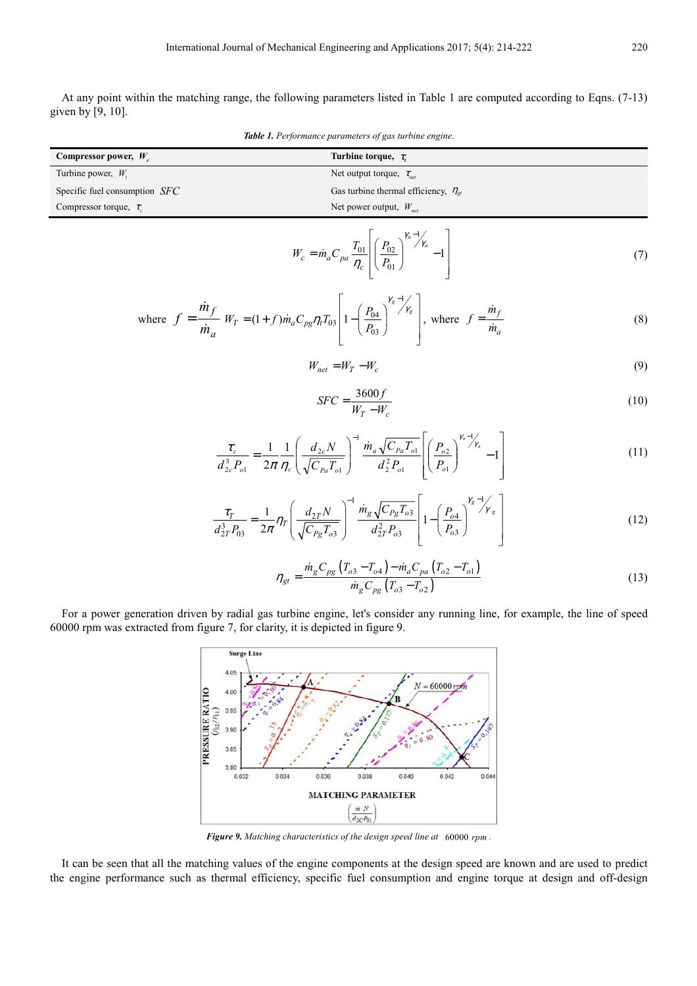At any point within the matching range, the following parameters listed in Table 1 are computed according to Eqns. (7-13) given by [9, 10].

*Table 1. Performance parameters of gas turbine engine.* 

| Compressor power, $W_c$         | Turbine torque, $\tau$ .                        |
|---------------------------------|-------------------------------------------------|
| Turbine power, $W_t$            | Net output torque, $\tau_{net}$                 |
| Specific fuel consumption $SFC$ | Gas turbine thermal efficiency, $\eta_{\alpha}$ |
| Compressor torque, $\tau_c$     | Net power output, $W_{net}$                     |

1  $01$  |  $102$ 01 1  $\alpha^{-1}$ / $\gamma_a$  $c = m_a c_{pa} \overline{\eta_c}$  $W_c = \dot{m}_a C_{pa} \frac{T_{01}}{\eta_c} \left| \left( \frac{P_0}{P_0} \right) \right|$  $\gamma_a - 1/2$ η  $= \dot{m}_a C_{pa} \frac{T_{01}}{T_c} \left[ \left( \frac{P_{02}}{P_{01}} \right)^{\gamma_a - 1} \right]$  $\dot{n}_a C_{pa} \frac{I_{01}}{R} \left| \frac{P_{02}}{R} \right|^{7/2} - 1$  (7)

where 
$$
f = \frac{\dot{m}_f}{\dot{m}_a} W_T = (1+f)\dot{m}_a C_{pg} \eta_i T_{03} \left[ 1 - \left( \frac{P_{04}}{P_{03}} \right)^{\gamma_g - 1} \right],
$$
 where  $f = \frac{\dot{m}_f}{\dot{m}_a}$  (8)

$$
W_{net} = W_T - W_c \tag{9}
$$

$$
SFC = \frac{3600f}{W_T - W_c} \tag{10}
$$

$$
\frac{\tau_c}{d_{2c}^3 P_{o1}} = \frac{1}{2\pi} \frac{1}{\eta_c} \left( \frac{d_{2c} N}{\sqrt{C_{Pa} T_{o1}}} \right)^{-1} \frac{\dot{m}_a \sqrt{C_{Pa} T_{o1}}}{d_2^2 P_{o1}} \left[ \left( \frac{P_{o2}}{P_{o1}} \right)^{\gamma_a - \gamma_a} - 1 \right]
$$
(11)

$$
\frac{\tau_T}{d_{2T}^3 P_{03}} = \frac{1}{2\pi} \eta_T \left( \frac{d_{2T} N}{\sqrt{C_{Pg} T_{o3}}} \right)^{-1} \frac{\dot{m}_g \sqrt{C_{Pg} T_{o3}}}{d_{2T}^2 P_{o3}} \left[ 1 - \left( \frac{P_{o4}}{P_{o3}} \right)^{\gamma_g - 1} \gamma_g \right]
$$
(12)

$$
\eta_{gt} = \frac{\dot{m}_g C_{pg} (T_{o3} - T_{o4}) - \dot{m}_a C_{pa} (T_{o2} - T_{o1})}{\dot{m}_g C_{pg} (T_{o3} - T_{o2})}
$$
(13)

For a power generation driven by radial gas turbine engine, let's consider any running line, for example, the line of speed 60000 rpm was extracted from figure 7, for clarity, it is depicted in figure 9.



*Figure 9. Matching characteristics of the design speed line at* 60000 *rpm .*

It can be seen that all the matching values of the engine components at the design speed are known and are used to predict the engine performance such as thermal efficiency, specific fuel consumption and engine torque at design and off-design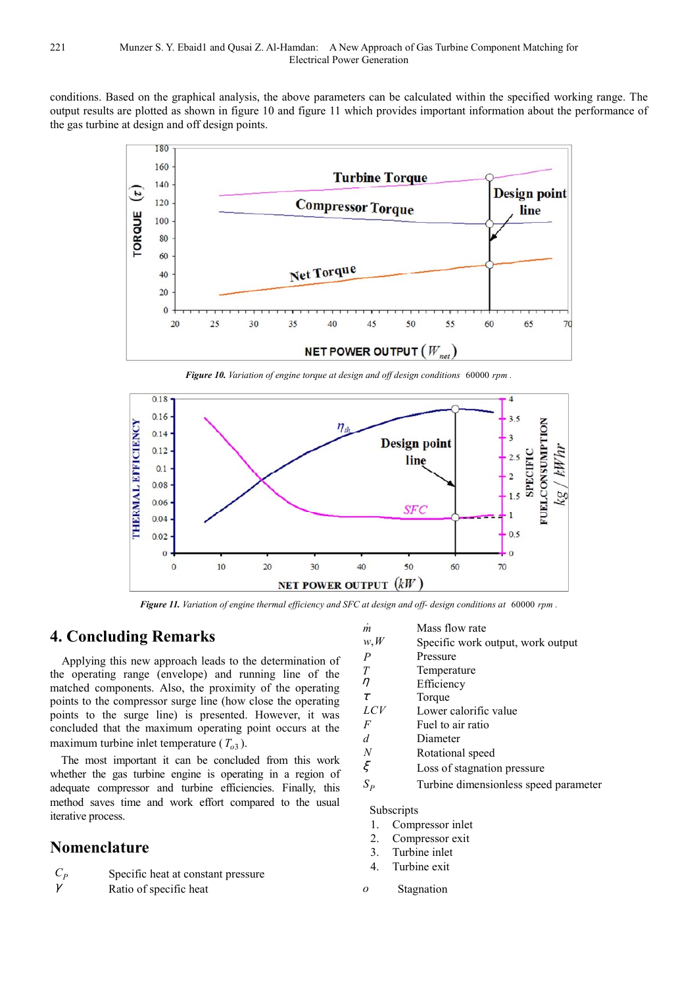conditions. Based on the graphical analysis, the above parameters can be calculated within the specified working range. The output results are plotted as shown in figure 10 and figure 11 which provides important information about the performance of the gas turbine at design and off design points.



*Figure 10. Variation of engine torque at design and off design conditions* 60000 *rpm .* 



*Figure 11. Variation of engine thermal efficiency and SFC at design and off- design conditions at* 60000 *rpm .* 

#### **4. Concluding Remarks**

Applying this new approach leads to the determination of the operating range (envelope) and running line of the matched components. Also, the proximity of the operating points to the compressor surge line (how close the operating points to the surge line) is presented. However, it was concluded that the maximum operating point occurs at the maximum turbine inlet temperature  $(T<sub>o3</sub>)$ .

The most important it can be concluded from this work whether the gas turbine engine is operating in a region of adequate compressor and turbine efficiencies. Finally, this method saves time and work effort compared to the usual iterative process.

### **Nomenclature**

*C<sup>P</sup>* Specific heat at constant pressure

 $\gamma$  Ratio of specific heat

- 
- *m* Mass flow rate<br> $w, W$  Specific work of Specific work output, work output
- *P* Pressure
- 
- $T \longrightarrow T$  Temperature  $\eta$ Efficiency
- $\tau$  Torque
- *LCV* Lower calorific value
- *F* Fuel to air ratio
- *d* Diameter
- 
- *N* Rotational speed<br>  $\xi$  Loss of stagnation Loss of stagnation pressure
	-
- $S_p$ Turbine dimensionless speed parameter

Subscripts

- 1. Compressor inlet
- 2. Compressor exit
- 3. Turbine inlet
- 4. Turbine exit
- *o* Stagnation